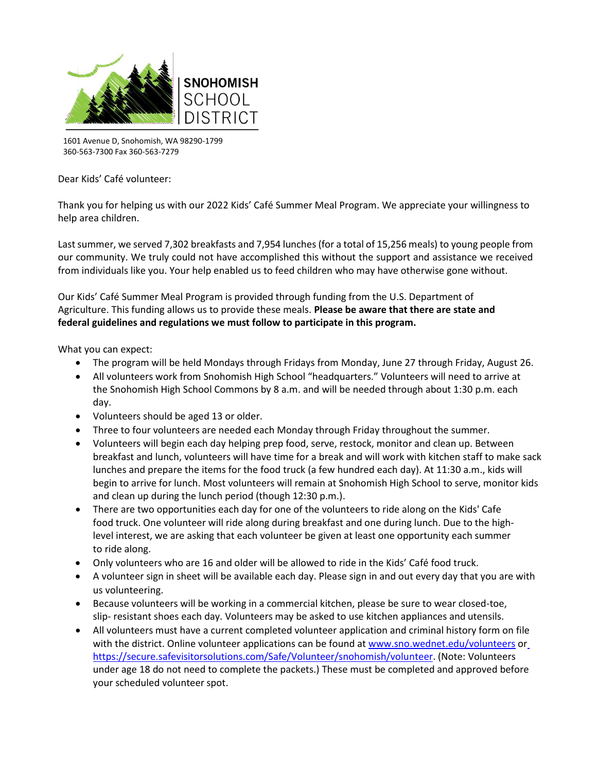

1601 Avenue D, Snohomish, WA 98290-1799 360-563-7300 Fax 360-563-7279

Dear Kids' Café volunteer:

Thank you for helping us with our 2022 Kids' Café Summer Meal Program. We appreciate your willingness to help area children.

Last summer, we served 7,302 breakfasts and 7,954 lunches (for a total of 15,256 meals) to young people from our community. We truly could not have accomplished this without the support and assistance we received from individuals like you. Your help enabled us to feed children who may have otherwise gone without.

Our Kids' Café Summer Meal Program is provided through funding from the U.S. Department of Agriculture. This funding allows us to provide these meals. **Please be aware that there are state and federal guidelines and regulations we must follow to participate in this program.**

What you can expect:

- The program will be held Mondays through Fridays from Monday, June 27 through Friday, August 26.
- All volunteers work from Snohomish High School "headquarters." Volunteers will need to arrive at the Snohomish High School Commons by 8 a.m. and will be needed through about 1:30 p.m. each day.
- Volunteers should be aged 13 or older.
- Three to four volunteers are needed each Monday through Friday throughout the summer.
- Volunteers will begin each day helping prep food, serve, restock, monitor and clean up. Between breakfast and lunch, volunteers will have time for a break and will work with kitchen staff to make sack lunches and prepare the items for the food truck (a few hundred each day). At 11:30 a.m., kids will begin to arrive for lunch. Most volunteers will remain at Snohomish High School to serve, monitor kids and clean up during the lunch period (though 12:30 p.m.).
- There are two opportunities each day for one of the volunteers to ride along on the Kids' Cafe food truck. One volunteer will ride along during breakfast and one during lunch. Due to the highlevel interest, we are asking that each volunteer be given at least one opportunity each summer to ride along.
- Only volunteers who are 16 and older will be allowed to ride in the Kids' Café food truck.
- A volunteer sign in sheet will be available each day. Please sign in and out every day that you are with us volunteering.
- Because volunteers will be working in a commercial kitchen, please be sure to wear closed-toe, slip- resistant shoes each day. Volunteers may be asked to use kitchen appliances and utensils.
- All volunteers must have a current completed volunteer application and criminal history form on file with the district. Online volunteer applications can be found at [www.sno.wednet.edu/](http://www.sno.wednt.edu/volunteers)voluntee[r](https://secure.safevisitorsolutions.com/Safe/Volunteer/snohomish/volu)s or [https://secure.safevisitorsolutions.com/Safe/Volunteer/snohomish/volun](https://secure.safevisitorsolutions.com/Safe/Volunteer/snohomish/volu)teer. (Note: Volunteers under age 18 do not need to complete the packets.) These must be completed and approved before your scheduled volunteer spot.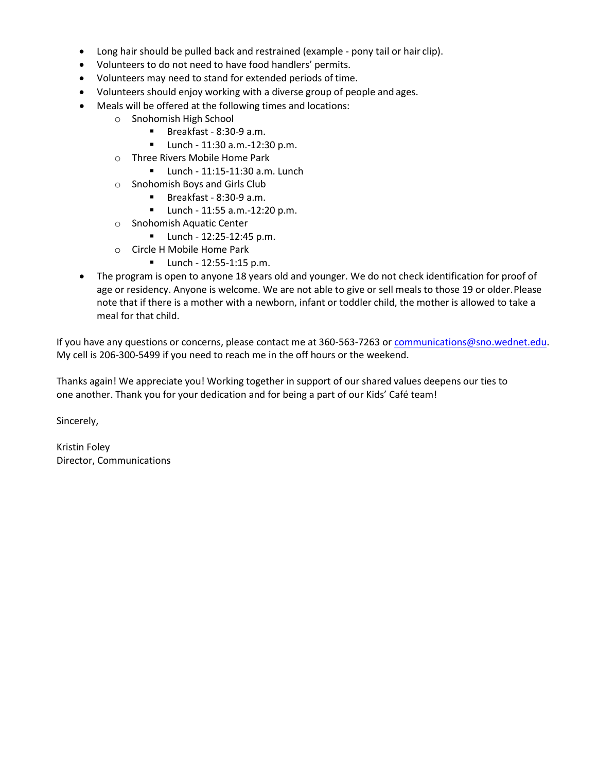- Long hair should be pulled back and restrained (example pony tail or hair clip).
- Volunteers to do not need to have food handlers' permits.
- Volunteers may need to stand for extended periods of time.
- Volunteers should enjoy working with a diverse group of people and ages.
- Meals will be offered at the following times and locations:
	- o Snohomish High School
		- Breakfast 8:30-9 a.m.
		- Lunch 11:30 a.m.-12:30 p.m.
	- o Three Rivers Mobile Home Park
		- Lunch 11:15-11:30 a.m. Lunch
	- o Snohomish Boys and Girls Club
		- Breakfast 8:30-9 a.m.
		- Lunch 11:55 a.m.-12:20 p.m.
	- o Snohomish Aquatic Center
		- Lunch 12:25-12:45 p.m.
	- o Circle H Mobile Home Park
		- Lunch 12:55-1:15 p.m.
- The program is open to anyone 18 years old and younger. We do not check identification for proof of age or residency. Anyone is welcome. We are not able to give or sell meals to those 19 or older.Please note that if there is a mother with a newborn, infant or toddler child, the mother is allowed to take a meal for that child.

If you have any questions or concerns, please contact me at 360-563-7263 o[r communications@sno.wednet.edu.](file://///ssd-share/Superintendent/Communications%20Office/Food%20Services/communications@sno.wednet.edu) My cell is 206-300-5499 if you need to reach me in the off hours or the weekend.

Thanks again! We appreciate you! Working together in support of our shared values deepens our ties to one another. Thank you for your dedication and for being a part of our Kids' Café team!

Sincerely,

Kristin Foley Director, Communications